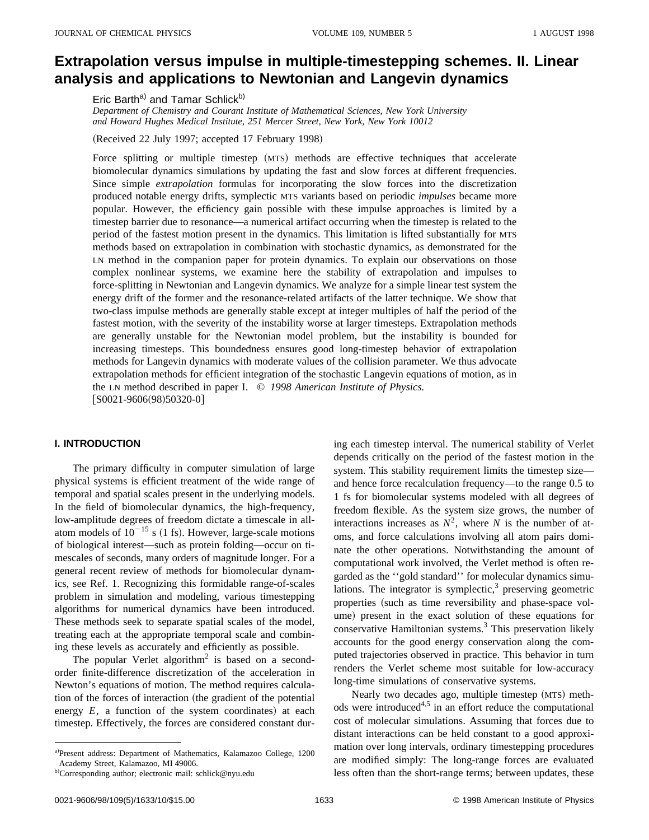# **Extrapolation versus impulse in multiple-timestepping schemes. II. Linear analysis and applications to Newtonian and Langevin dynamics**

Eric Barth<sup>a)</sup> and Tamar Schlick<sup>b)</sup>

*Department of Chemistry and Courant Institute of Mathematical Sciences, New York University and Howard Hughes Medical Institute, 251 Mercer Street, New York, New York 10012*

(Received 22 July 1997; accepted 17 February 1998)

Force splitting or multiple timestep (MTS) methods are effective techniques that accelerate biomolecular dynamics simulations by updating the fast and slow forces at different frequencies. Since simple *extrapolation* formulas for incorporating the slow forces into the discretization produced notable energy drifts, symplectic MTS variants based on periodic *impulses* became more popular. However, the efficiency gain possible with these impulse approaches is limited by a timestep barrier due to resonance—a numerical artifact occurring when the timestep is related to the period of the fastest motion present in the dynamics. This limitation is lifted substantially for MTS methods based on extrapolation in combination with stochastic dynamics, as demonstrated for the LN method in the companion paper for protein dynamics. To explain our observations on those complex nonlinear systems, we examine here the stability of extrapolation and impulses to force-splitting in Newtonian and Langevin dynamics. We analyze for a simple linear test system the energy drift of the former and the resonance-related artifacts of the latter technique. We show that two-class impulse methods are generally stable except at integer multiples of half the period of the fastest motion, with the severity of the instability worse at larger timesteps. Extrapolation methods are generally unstable for the Newtonian model problem, but the instability is bounded for increasing timesteps. This boundedness ensures good long-timestep behavior of extrapolation methods for Langevin dynamics with moderate values of the collision parameter. We thus advocate extrapolation methods for efficient integration of the stochastic Langevin equations of motion, as in the LN method described in paper I. © *1998 American Institute of Physics.*  $[50021 - 9606(98)50320 - 0]$ 

# **I. INTRODUCTION**

The primary difficulty in computer simulation of large physical systems is efficient treatment of the wide range of temporal and spatial scales present in the underlying models. In the field of biomolecular dynamics, the high-frequency, low-amplitude degrees of freedom dictate a timescale in allatom models of  $10^{-15}$  s (1 fs). However, large-scale motions of biological interest—such as protein folding—occur on timescales of seconds, many orders of magnitude longer. For a general recent review of methods for biomolecular dynamics, see Ref. 1. Recognizing this formidable range-of-scales problem in simulation and modeling, various timestepping algorithms for numerical dynamics have been introduced. These methods seek to separate spatial scales of the model, treating each at the appropriate temporal scale and combining these levels as accurately and efficiently as possible.

The popular Verlet algorithm<sup>2</sup> is based on a secondorder finite-difference discretization of the acceleration in Newton's equations of motion. The method requires calculation of the forces of interaction (the gradient of the potential energy  $E$ , a function of the system coordinates) at each timestep. Effectively, the forces are considered constant during each timestep interval. The numerical stability of Verlet depends critically on the period of the fastest motion in the system. This stability requirement limits the timestep size and hence force recalculation frequency—to the range 0.5 to 1 fs for biomolecular systems modeled with all degrees of freedom flexible. As the system size grows, the number of interactions increases as  $N^2$ , where *N* is the number of atoms, and force calculations involving all atom pairs dominate the other operations. Notwithstanding the amount of computational work involved, the Verlet method is often regarded as the ''gold standard'' for molecular dynamics simulations. The integrator is symplectic, $3$  preserving geometric properties (such as time reversibility and phase-space volume) present in the exact solution of these equations for conservative Hamiltonian systems.3 This preservation likely accounts for the good energy conservation along the computed trajectories observed in practice. This behavior in turn renders the Verlet scheme most suitable for low-accuracy long-time simulations of conservative systems.

Nearly two decades ago, multiple timestep (MTS) methods were introduced $4.5$  in an effort reduce the computational cost of molecular simulations. Assuming that forces due to distant interactions can be held constant to a good approximation over long intervals, ordinary timestepping procedures are modified simply: The long-range forces are evaluated less often than the short-range terms; between updates, these

a)Present address: Department of Mathematics, Kalamazoo College, 1200 Academy Street, Kalamazoo, MI 49006.

b)Corresponding author; electronic mail: schlick@nyu.edu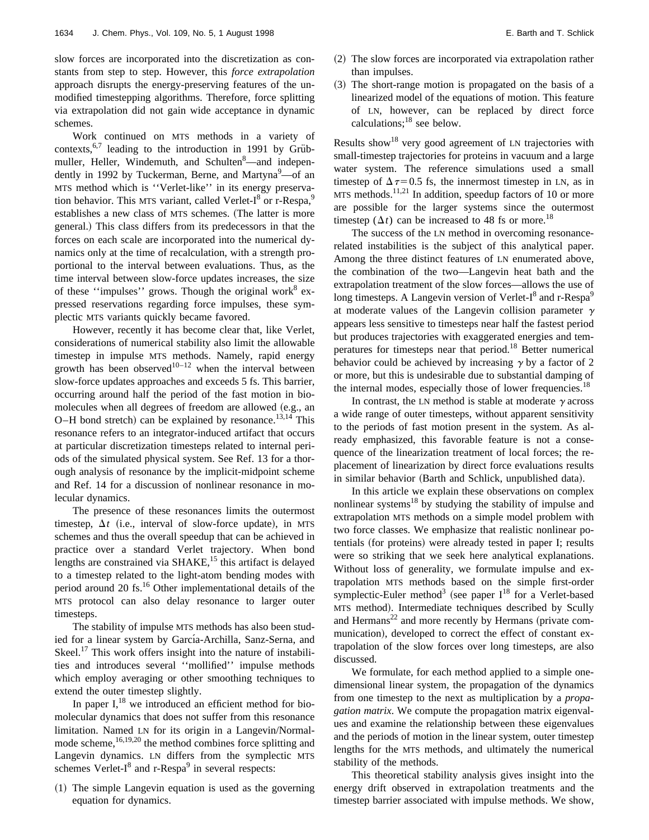slow forces are incorporated into the discretization as constants from step to step. However, this *force extrapolation* approach disrupts the energy-preserving features of the unmodified timestepping algorithms. Therefore, force splitting via extrapolation did not gain wide acceptance in dynamic schemes.

Work continued on MTS methods in a variety of contexts,<sup>6,7</sup> leading to the introduction in 1991 by Grübmuller, Heller, Windemuth, and Schulten<sup>8</sup>—and independently in 1992 by Tuckerman, Berne, and Martyna<sup>9</sup>—of an MTS method which is ''Verlet-like'' in its energy preservation behavior. This MTS variant, called Verlet- $I^8$  or r-Respa,<sup>5</sup> establishes a new class of MTS schemes. (The latter is more general.) This class differs from its predecessors in that the forces on each scale are incorporated into the numerical dynamics only at the time of recalculation, with a strength proportional to the interval between evaluations. Thus, as the time interval between slow-force updates increases, the size of these "impulses" grows. Though the original work $8$  expressed reservations regarding force impulses, these symplectic MTS variants quickly became favored.

However, recently it has become clear that, like Verlet, considerations of numerical stability also limit the allowable timestep in impulse MTS methods. Namely, rapid energy growth has been observed<sup>10–12</sup> when the interval between slow-force updates approaches and exceeds 5 fs. This barrier, occurring around half the period of the fast motion in biomolecules when all degrees of freedom are allowed (e.g., an O–H bond stretch) can be explained by resonance.<sup>13,14</sup> This resonance refers to an integrator-induced artifact that occurs at particular discretization timesteps related to internal periods of the simulated physical system. See Ref. 13 for a thorough analysis of resonance by the implicit-midpoint scheme and Ref. 14 for a discussion of nonlinear resonance in molecular dynamics.

The presence of these resonances limits the outermost timestep,  $\Delta t$  (i.e., interval of slow-force update), in MTS schemes and thus the overall speedup that can be achieved in practice over a standard Verlet trajectory. When bond lengths are constrained via  $SHAKE<sup>15</sup>$ , this artifact is delayed to a timestep related to the light-atom bending modes with period around 20 fs.16 Other implementational details of the MTS protocol can also delay resonance to larger outer timesteps.

The stability of impulse MTS methods has also been studied for a linear system by García-Archilla, Sanz-Serna, and Skeel.<sup>17</sup> This work offers insight into the nature of instabilities and introduces several ''mollified'' impulse methods which employ averaging or other smoothing techniques to extend the outer timestep slightly.

In paper  $I<sub>1</sub><sup>18</sup>$  we introduced an efficient method for biomolecular dynamics that does not suffer from this resonance limitation. Named LN for its origin in a Langevin/Normalmode scheme,  $16,19,20$  the method combines force splitting and Langevin dynamics. LN differs from the symplectic MTS schemes Verlet- $I^8$  and r-Respa $^9$  in several respects:

 $(1)$  The simple Langevin equation is used as the governing equation for dynamics.

- (2) The slow forces are incorporated via extrapolation rather than impulses.
- ~3! The short-range motion is propagated on the basis of a linearized model of the equations of motion. This feature of LN, however, can be replaced by direct force calculations;<sup>18</sup> see below.

Results show<sup>18</sup> very good agreement of LN trajectories with small-timestep trajectories for proteins in vacuum and a large water system. The reference simulations used a small timestep of  $\Delta \tau = 0.5$  fs, the innermost timestep in LN, as in MTS methods.<sup>11,21</sup> In addition, speedup factors of 10 or more are possible for the larger systems since the outermost timestep  $(\Delta t)$  can be increased to 48 fs or more.<sup>18</sup>

The success of the LN method in overcoming resonancerelated instabilities is the subject of this analytical paper. Among the three distinct features of LN enumerated above, the combination of the two—Langevin heat bath and the extrapolation treatment of the slow forces—allows the use of long timesteps. A Langevin version of Verlet-I<sup>8</sup> and r-Respa<sup>9</sup> at moderate values of the Langevin collision parameter  $\gamma$ appears less sensitive to timesteps near half the fastest period but produces trajectories with exaggerated energies and temperatures for timesteps near that period.<sup>18</sup> Better numerical behavior could be achieved by increasing  $\gamma$  by a factor of 2 or more, but this is undesirable due to substantial damping of the internal modes, especially those of lower frequencies.<sup>18</sup>

In contrast, the LN method is stable at moderate  $\gamma$  across a wide range of outer timesteps, without apparent sensitivity to the periods of fast motion present in the system. As already emphasized, this favorable feature is not a consequence of the linearization treatment of local forces; the replacement of linearization by direct force evaluations results in similar behavior (Barth and Schlick, unpublished data).

In this article we explain these observations on complex nonlinear systems<sup>18</sup> by studying the stability of impulse and extrapolation MTS methods on a simple model problem with two force classes. We emphasize that realistic nonlinear potentials (for proteins) were already tested in paper I; results were so striking that we seek here analytical explanations. Without loss of generality, we formulate impulse and extrapolation MTS methods based on the simple first-order symplectic-Euler method<sup>3</sup> (see paper  $I^{18}$  for a Verlet-based MTS method). Intermediate techniques described by Scully and Hermans<sup>22</sup> and more recently by Hermans (private communication), developed to correct the effect of constant extrapolation of the slow forces over long timesteps, are also discussed.

We formulate, for each method applied to a simple onedimensional linear system, the propagation of the dynamics from one timestep to the next as multiplication by a *propagation matrix*. We compute the propagation matrix eigenvalues and examine the relationship between these eigenvalues and the periods of motion in the linear system, outer timestep lengths for the MTS methods, and ultimately the numerical stability of the methods.

This theoretical stability analysis gives insight into the energy drift observed in extrapolation treatments and the timestep barrier associated with impulse methods. We show,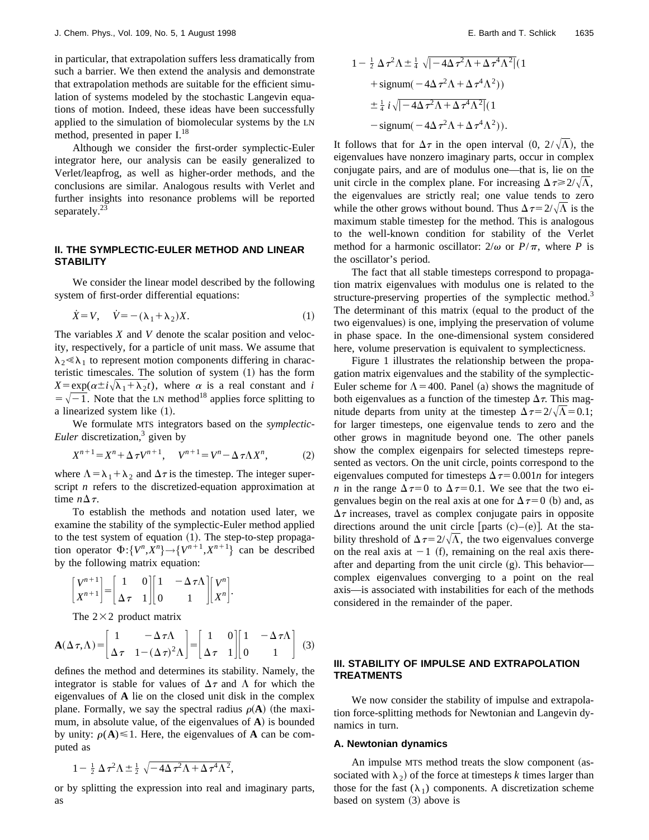in particular, that extrapolation suffers less dramatically from such a barrier. We then extend the analysis and demonstrate that extrapolation methods are suitable for the efficient simulation of systems modeled by the stochastic Langevin equations of motion. Indeed, these ideas have been successfully applied to the simulation of biomolecular systems by the LN method, presented in paper I.<sup>18</sup>

Although we consider the first-order symplectic-Euler integrator here, our analysis can be easily generalized to Verlet/leapfrog, as well as higher-order methods, and the conclusions are similar. Analogous results with Verlet and further insights into resonance problems will be reported separately.<sup>23</sup>

## **II. THE SYMPLECTIC-EULER METHOD AND LINEAR STABILITY**

We consider the linear model described by the following system of first-order differential equations:

$$
\dot{X} = V, \quad \dot{V} = -(\lambda_1 + \lambda_2)X. \tag{1}
$$

The variables *X* and *V* denote the scalar position and velocity, respectively, for a particle of unit mass. We assume that  $\lambda_2 \ll \lambda_1$  to represent motion components differing in characteristic timescales. The solution of system  $(1)$  has the form  $X = \exp(\alpha t + i\sqrt{\lambda_1 + \lambda_2}t)$ , where  $\alpha$  is a real constant and *i*  $=\sqrt{-1}$ . Note that the LN method<sup>18</sup> applies force splitting to a linearized system like  $(1)$ .

We formulate MTS integrators based on the *symplectic-Euler* discretization,<sup>3</sup> given by

$$
X^{n+1} = X^n + \Delta \tau V^{n+1}, \quad V^{n+1} = V^n - \Delta \tau \Lambda X^n, \tag{2}
$$

where  $\Lambda = \lambda_1 + \lambda_2$  and  $\Delta \tau$  is the timestep. The integer superscript *n* refers to the discretized-equation approximation at time  $n\Delta\tau$ .

To establish the methods and notation used later, we examine the stability of the symplectic-Euler method applied to the test system of equation  $(1)$ . The step-to-step propagation operator  $\Phi$ : { $V^n, X^n$ }  $\rightarrow$  { $V^{n+1}, X^{n+1}$ } can be described by the following matrix equation:

$$
\begin{bmatrix} V^{n+1} \\ X^{n+1} \end{bmatrix} = \begin{bmatrix} 1 & 0 \\ \Delta \tau & 1 \end{bmatrix} \begin{bmatrix} 1 & -\Delta \tau \Lambda \\ 0 & 1 \end{bmatrix} \begin{bmatrix} V^n \\ X^n \end{bmatrix}.
$$

The  $2\times2$  product matrix

$$
\mathbf{A}(\Delta \tau, \Lambda) = \begin{bmatrix} 1 & -\Delta \tau \Lambda \\ \Delta \tau & 1 - (\Delta \tau)^2 \Lambda \end{bmatrix} = \begin{bmatrix} 1 & 0 \\ \Delta \tau & 1 \end{bmatrix} \begin{bmatrix} 1 & -\Delta \tau \Lambda \\ 0 & 1 \end{bmatrix}
$$
 (3)

defines the method and determines its stability. Namely, the integrator is stable for values of  $\Delta \tau$  and  $\Lambda$  for which the eigenvalues of **A** lie on the closed unit disk in the complex plane. Formally, we say the spectral radius  $\rho(A)$  (the maximum, in absolute value, of the eigenvalues of  $A$ ) is bounded by unity:  $\rho(A) \le 1$ . Here, the eigenvalues of **A** can be computed as

$$
1 - \frac{1}{2} \Delta \tau^2 \Lambda \pm \frac{1}{2} \sqrt{-4\Delta \tau^2 \Lambda + \Delta \tau^4 \Lambda^2},
$$

or by splitting the expression into real and imaginary parts, as

$$
1 - \frac{1}{2} \Delta \tau^2 \Lambda \pm \frac{1}{4} \sqrt{-4\Delta \tau^2 \Lambda + \Delta \tau^4 \Lambda^2} (1 + \text{signum}(-4\Delta \tau^2 \Lambda + \Delta \tau^4 \Lambda^2))
$$
  

$$
\pm \frac{1}{4} i \sqrt{-4\Delta \tau^2 \Lambda + \Delta \tau^4 \Lambda^2} (1 - \text{signum}(-4\Delta \tau^2 \Lambda + \Delta \tau^4 \Lambda^2)).
$$

It follows that for  $\Delta \tau$  in the open interval  $(0, 2/\sqrt{\Lambda})$ , the eigenvalues have nonzero imaginary parts, occur in complex conjugate pairs, and are of modulus one—that is, lie on the unit circle in the complex plane. For increasing  $\Delta \tau \geq 2/\sqrt{\Lambda}$ , the eigenvalues are strictly real; one value tends to zero while the other grows without bound. Thus  $\Delta \tau = 2/\sqrt{\Lambda}$  is the maximum stable timestep for the method. This is analogous to the well-known condition for stability of the Verlet method for a harmonic oscillator:  $2/\omega$  or  $P/\pi$ , where *P* is the oscillator's period.

The fact that all stable timesteps correspond to propagation matrix eigenvalues with modulus one is related to the structure-preserving properties of the symplectic method.<sup>3</sup> The determinant of this matrix (equal to the product of the two eigenvalues) is one, implying the preservation of volume in phase space. In the one-dimensional system considered here, volume preservation is equivalent to symplecticness.

Figure 1 illustrates the relationship between the propagation matrix eigenvalues and the stability of the symplectic-Euler scheme for  $\Lambda$  = 400. Panel (a) shows the magnitude of both eigenvalues as a function of the timestep  $\Delta \tau$ . This magnitude departs from unity at the timestep  $\Delta \tau = 2/\sqrt{\Lambda} = 0.1$ ; for larger timesteps, one eigenvalue tends to zero and the other grows in magnitude beyond one. The other panels show the complex eigenpairs for selected timesteps represented as vectors. On the unit circle, points correspond to the eigenvalues computed for timesteps  $\Delta \tau = 0.001n$  for integers *n* in the range  $\Delta \tau = 0$  to  $\Delta \tau = 0.1$ . We see that the two eigenvalues begin on the real axis at one for  $\Delta \tau=0$  (b) and, as  $\Delta \tau$  increases, travel as complex conjugate pairs in opposite directions around the unit circle [parts  $(c)$ – $(e)$ ]. At the stability threshold of  $\Delta \tau = 2/\sqrt{\Lambda}$ , the two eigenvalues converge on the real axis at  $-1$  (f), remaining on the real axis thereafter and departing from the unit circle  $(g)$ . This behavior complex eigenvalues converging to a point on the real axis—is associated with instabilities for each of the methods considered in the remainder of the paper.

## **III. STABILITY OF IMPULSE AND EXTRAPOLATION TREATMENTS**

We now consider the stability of impulse and extrapolation force-splitting methods for Newtonian and Langevin dynamics in turn.

#### **A. Newtonian dynamics**

An impulse MTS method treats the slow component (associated with  $\lambda_2$  of the force at timesteps *k* times larger than those for the fast  $(\lambda_1)$  components. A discretization scheme based on system  $(3)$  above is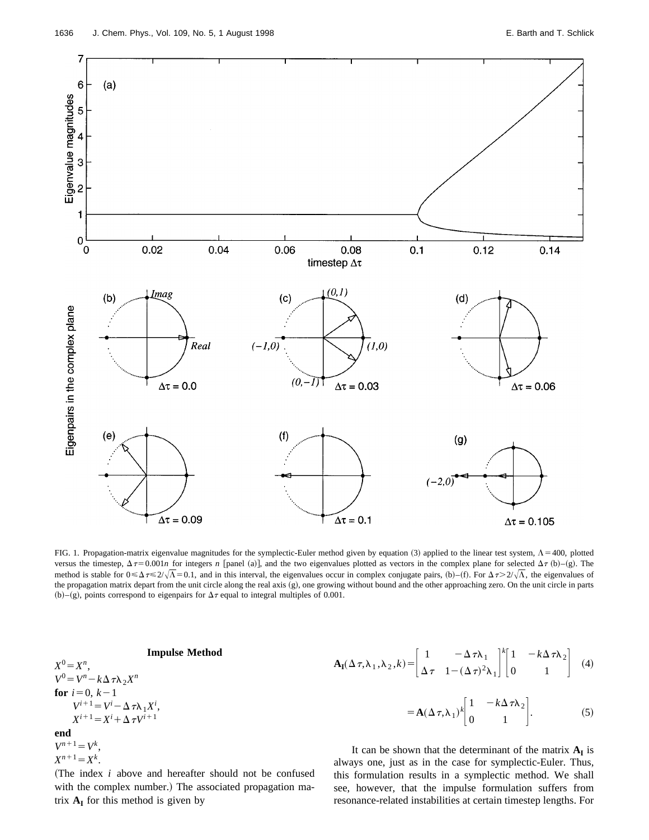

FIG. 1. Propagation-matrix eigenvalue magnitudes for the symplectic-Euler method given by equation (3) applied to the linear test system,  $\Lambda$  = 400, plotted versus the timestep,  $\Delta \tau = 0.001n$  for integers *n* [panel (a)], and the two eigenvalues plotted as vectors in the complex plane for selected  $\Delta \tau$  (b)–(g). The method is stable for  $0 \leq \Delta \tau \leq 2/\sqrt{\Delta} = 0.1$ , and in this interval, the eigenvalues occur in complex conjugate pairs, (b)–(f). For  $\Delta \tau > 2/\sqrt{\Delta}$ , the eigenvalues of the propagation matrix depart from the unit circle along the real axis (g), one growing without bound and the other approaching zero. On the unit circle in parts (b)–(g), points correspond to eigenpairs for  $\Delta \tau$  equal to integral multiples of 0.001.

#### **Impulse Method**

$$
X^{0} = X^{n},
$$
  
\n
$$
V^{0} = V^{n} - k\Delta \tau \lambda_{2} X^{n}
$$
  
\nfor  $i = 0, k - 1$   
\n
$$
V^{i+1} = V^{i} - \Delta \tau \lambda_{1} X^{i},
$$
  
\n
$$
X^{i+1} = X^{i} + \Delta \tau V^{i+1}
$$
  
\nend  
\n
$$
V^{n+1} = V^{k},
$$
  
\n
$$
X^{n+1} = X^{k}.
$$

(The index  $i$  above and hereafter should not be confused with the complex number.) The associated propagation matrix  $A_I$  for this method is given by

$$
\mathbf{A}_{\mathbf{I}}(\Delta \tau, \lambda_1, \lambda_2, k) = \begin{bmatrix} 1 & -\Delta \tau \lambda_1 \\ \Delta \tau & 1 - (\Delta \tau)^2 \lambda_1 \end{bmatrix}^k \begin{bmatrix} 1 & -k \Delta \tau \lambda_2 \\ 0 & 1 \end{bmatrix}
$$
 (4)

$$
= \mathbf{A}(\Delta \tau, \lambda_1)^k \begin{bmatrix} 1 & -k\Delta \tau \lambda_2 \\ 0 & 1 \end{bmatrix} . \tag{5}
$$

It can be shown that the determinant of the matrix  $A_I$  is always one, just as in the case for symplectic-Euler. Thus, this formulation results in a symplectic method. We shall see, however, that the impulse formulation suffers from resonance-related instabilities at certain timestep lengths. For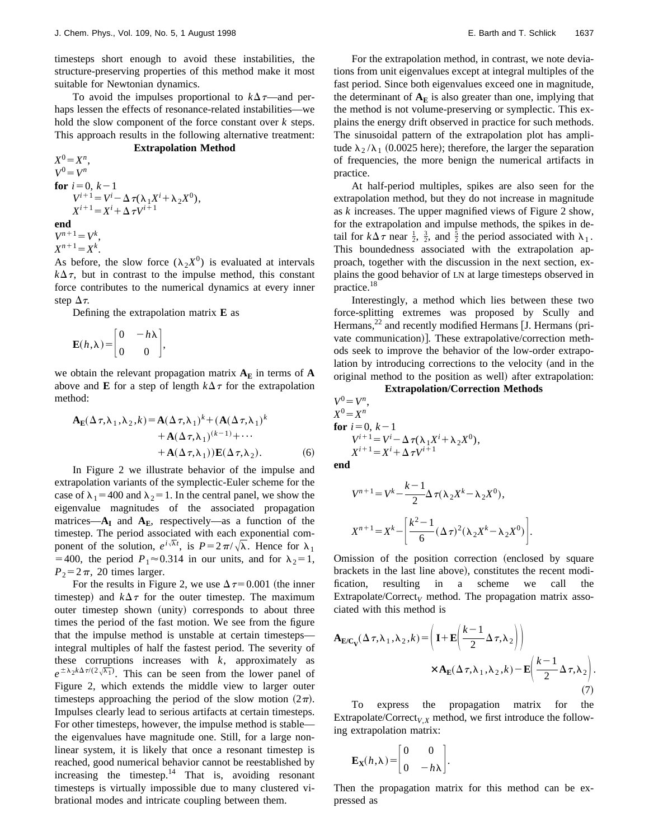timesteps short enough to avoid these instabilities, the structure-preserving properties of this method make it most suitable for Newtonian dynamics.

To avoid the impulses proportional to  $k\Delta \tau$ —and perhaps lessen the effects of resonance-related instabilities—we hold the slow component of the force constant over *k* steps. This approach results in the following alternative treatment:

### **Extrapolation Method**

$$
X^{i} - X^{i}
$$
\n
$$
V^{0} = V^{n}
$$
\n
$$
V^{i+1} = V^{i} - \Delta \tau (\lambda_{1} X^{i} + \lambda_{2} X^{0}),
$$
\n
$$
X^{i+1} = X^{i} + \Delta \tau V^{i+1}
$$
\nend

\n
$$
V^{n+1} = V^{k},
$$
\n
$$
X^{n+1} = X^{k}.
$$

 $\mathbf{v}^0 = \mathbf{v}^n$ 

As before, the slow force  $(\lambda_2 X^0)$  is evaluated at intervals  $k\Delta\tau$ , but in contrast to the impulse method, this constant force contributes to the numerical dynamics at every inner step  $\Delta \tau$ .

Defining the extrapolation matrix **E** as

$$
\mathbf{E}(h,\lambda) = \begin{bmatrix} 0 & -h\lambda \\ 0 & 0 \end{bmatrix},
$$

we obtain the relevant propagation matrix  $A_E$  in terms of  $A$ above and **E** for a step of length  $k\Delta \tau$  for the extrapolation method:

$$
\mathbf{A}_{\mathbf{E}}(\Delta \tau, \lambda_1, \lambda_2, k) = \mathbf{A}(\Delta \tau, \lambda_1)^k + (\mathbf{A}(\Delta \tau, \lambda_1)^k + \mathbf{A}(\Delta \tau, \lambda_1)^{(k-1)} + \cdots + \mathbf{A}(\Delta \tau, \lambda_1)) \mathbf{E}(\Delta \tau, \lambda_2).
$$
 (6)

In Figure 2 we illustrate behavior of the impulse and extrapolation variants of the symplectic-Euler scheme for the case of  $\lambda_1$ =400 and  $\lambda_2$ =1. In the central panel, we show the eigenvalue magnitudes of the associated propagation matrices— $A_I$  and  $A_E$ , respectively—as a function of the timestep. The period associated with each exponential component of the solution,  $e^{i\sqrt{\lambda}t}$ , is  $P=2\pi/\sqrt{\lambda}$ . Hence for  $\lambda_1$ =400, the period  $P_1 \approx 0.314$  in our units, and for  $\lambda_2 = 1$ ,  $P_2=2\pi$ , 20 times larger.

For the results in Figure 2, we use  $\Delta \tau = 0.001$  (the inner timestep) and  $k\Delta \tau$  for the outer timestep. The maximum outer timestep shown (unity) corresponds to about three times the period of the fast motion. We see from the figure that the impulse method is unstable at certain timesteps integral multiples of half the fastest period. The severity of these corruptions increases with *k*, approximately as  $e^{\pm \lambda_2 k \Delta \tau/(2\sqrt{\lambda_1})}$ . This can be seen from the lower panel of Figure 2, which extends the middle view to larger outer timesteps approaching the period of the slow motion  $(2\pi)$ . Impulses clearly lead to serious artifacts at certain timesteps. For other timesteps, however, the impulse method is stable the eigenvalues have magnitude one. Still, for a large nonlinear system, it is likely that once a resonant timestep is reached, good numerical behavior cannot be reestablished by increasing the timestep. $14$  That is, avoiding resonant timesteps is virtually impossible due to many clustered vibrational modes and intricate coupling between them.

For the extrapolation method, in contrast, we note deviations from unit eigenvalues except at integral multiples of the fast period. Since both eigenvalues exceed one in magnitude, the determinant of  $A<sub>E</sub>$  is also greater than one, implying that the method is not volume-preserving or symplectic. This explains the energy drift observed in practice for such methods. The sinusoidal pattern of the extrapolation plot has amplitude  $\lambda_2 / \lambda_1$  (0.0025 here); therefore, the larger the separation of frequencies, the more benign the numerical artifacts in practice.

At half-period multiples, spikes are also seen for the extrapolation method, but they do not increase in magnitude as *k* increases. The upper magnified views of Figure 2 show, for the extrapolation and impulse methods, the spikes in detail for  $k\Delta \tau$  near  $\frac{1}{2}$ ,  $\frac{3}{2}$ , and  $\frac{5}{2}$  the period associated with  $\lambda_1$ . This boundedness associated with the extrapolation approach, together with the discussion in the next section, explains the good behavior of LN at large timesteps observed in practice.18

Interestingly, a method which lies between these two force-splitting extremes was proposed by Scully and Hermans, $^{22}$  and recently modified Hermans [J. Hermans (private communication)]. These extrapolative/correction methods seek to improve the behavior of the low-order extrapolation by introducing corrections to the velocity (and in the original method to the position as well) after extrapolation:

### **Extrapolation/Correction Methods**

 $V^0 = V^n$  $X^0 = X^n$ **for**  $i=0, k-1$  $V^{i+1} = V^{i} - \Delta \tau (\lambda_1 X^{i} + \lambda_2 X^{0}),$  $X^{i+1} = X^i + \Delta \tau V^{i+1}$ 

**end**

$$
V^{n+1} = V^k - \frac{k-1}{2} \Delta \tau (\lambda_2 X^k - \lambda_2 X^0),
$$
  

$$
X^{n+1} = X^k - \left[ \frac{k^2 - 1}{6} (\Delta \tau)^2 (\lambda_2 X^k - \lambda_2 X^0) \right].
$$

Omission of the position correction (enclosed by square brackets in the last line above), constitutes the recent modification, resulting in a scheme we call the Extrapolate/Correct<sub>*V*</sub> method. The propagation matrix associated with this method is

$$
\mathbf{A}_{\mathbf{E}/\mathbf{C}_{\mathbf{V}}}(\Delta \tau, \lambda_1, \lambda_2, k) = \left(\mathbf{I} + \mathbf{E}\left(\frac{k-1}{2}\Delta \tau, \lambda_2\right)\right)
$$

$$
\times \mathbf{A}_{\mathbf{E}}(\Delta \tau, \lambda_1, \lambda_2, k) - \mathbf{E}\left(\frac{k-1}{2}\Delta \tau, \lambda_2\right).
$$

$$
(7)
$$

To express the propagation matrix for the Extrapolate/Correct<sub>*V*, $X$ </sub> method, we first introduce the following extrapolation matrix:

$$
\mathbf{E}_{\mathbf{X}}(h,\lambda) = \begin{bmatrix} 0 & 0 \\ 0 & -h\lambda \end{bmatrix}.
$$

Then the propagation matrix for this method can be expressed as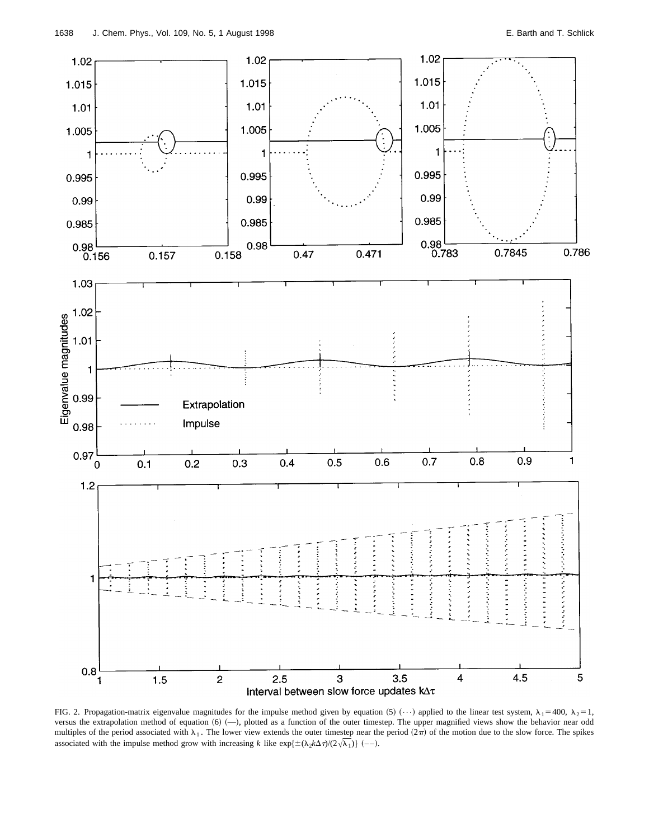

FIG. 2. Propagation-matrix eigenvalue magnitudes for the impulse method given by equation (5)  $(\cdots)$  applied to the linear test system,  $\lambda_1 = 400$ ,  $\lambda_2 = 1$ , versus the extrapolation method of equation (6) (--), plotted as a function of the outer timestep. The upper magnified views show the behavior near odd multiples of the period associated with  $\lambda_1$ . The lower view extends the outer timestep near the period  $(2\pi)$  of the motion due to the slow force. The spikes associated with the impulse method grow with increasing *k* like  $exp{\pm(\lambda_2 k\Delta \tau)/(2\sqrt{\lambda_1})}$  (--).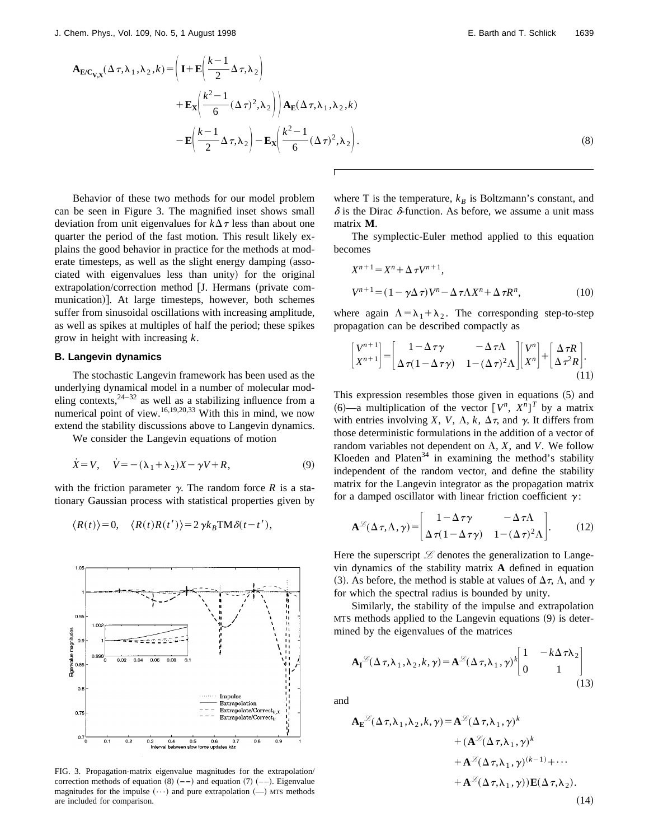$$
\mathbf{A}_{\mathbf{E}/\mathbf{C}_{\mathbf{V},\mathbf{X}}}(\Delta \tau, \lambda_1, \lambda_2, k) = \left(\mathbf{I} + \mathbf{E} \left(\frac{k-1}{2} \Delta \tau, \lambda_2\right) + \mathbf{E}_{\mathbf{X}} \left(\frac{k^2 - 1}{6} (\Delta \tau)^2, \lambda_2\right) \right) \mathbf{A}_{\mathbf{E}}(\Delta \tau, \lambda_1, \lambda_2, k) - \mathbf{E} \left(\frac{k-1}{2} \Delta \tau, \lambda_2\right) - \mathbf{E}_{\mathbf{X}} \left(\frac{k^2 - 1}{6} (\Delta \tau)^2, \lambda_2\right).
$$
\n(8)

Behavior of these two methods for our model problem can be seen in Figure 3. The magnified inset shows small deviation from unit eigenvalues for  $k\Delta \tau$  less than about one quarter the period of the fast motion. This result likely explains the good behavior in practice for the methods at moderate timesteps, as well as the slight energy damping (associated with eigenvalues less than unity) for the original extrapolation/correction method *J.* Hermans (private communication). At large timesteps, however, both schemes suffer from sinusoidal oscillations with increasing amplitude, as well as spikes at multiples of half the period; these spikes grow in height with increasing *k*.

#### **B. Langevin dynamics**

The stochastic Langevin framework has been used as the underlying dynamical model in a number of molecular modeling contexts,  $2^{4-32}$  as well as a stabilizing influence from a numerical point of view.<sup>16,19,20,33</sup> With this in mind, we now extend the stability discussions above to Langevin dynamics.

We consider the Langevin equations of motion

$$
\dot{X} = V, \quad \dot{V} = -(\lambda_1 + \lambda_2)X - \gamma V + R,\tag{9}
$$

with the friction parameter  $\gamma$ . The random force *R* is a stationary Gaussian process with statistical properties given by

$$
\langle R(t) \rangle = 0, \quad \langle R(t)R(t') \rangle = 2 \gamma k_B \text{TM} \delta(t-t'),
$$



FIG. 3. Propagation-matrix eigenvalue magnitudes for the extrapolation/ correction methods of equation  $(8)$   $(--)$  and equation  $(7)$   $(--)$ . Eigenvalue magnitudes for the impulse  $(\cdots)$  and pure extrapolation  $(\cdots)$  MTS methods are included for comparison.

where T is the temperature, 
$$
k_B
$$
 is Boltzmann's constant, and  $\delta$  is the Dirac  $\delta$ -function. As before, we assume a unit mass matrix **M**.

The symplectic-Euler method applied to this equation becomes

$$
X^{n+1} = X^n + \Delta \tau V^{n+1},
$$
  
\n
$$
V^{n+1} = (1 - \gamma \Delta \tau) V^n - \Delta \tau \Lambda X^n + \Delta \tau R^n,
$$
\n(10)

where again  $\Lambda = \lambda_1 + \lambda_2$ . The corresponding step-to-step propagation can be described compactly as

$$
\begin{bmatrix} V^{n+1} \\ X^{n+1} \end{bmatrix} = \begin{bmatrix} 1 - \Delta \tau \gamma & -\Delta \tau \Lambda \\ \Delta \tau (1 - \Delta \tau \gamma) & 1 - (\Delta \tau)^2 \Lambda \end{bmatrix} \begin{bmatrix} V^n \\ X^n \end{bmatrix} + \begin{bmatrix} \Delta \tau R \\ \Delta \tau^2 R \end{bmatrix}.
$$
\n(11)

This expression resembles those given in equations  $(5)$  and  $(6)$ —a multiplication of the vector  $[V^n, X^n]^T$  by a matrix with entries involving *X*, *V*,  $\Lambda$ , *k*,  $\Delta \tau$ , and  $\gamma$ . It differs from those deterministic formulations in the addition of a vector of random variables not dependent on  $\Lambda$ ,  $X$ , and  $V$ . We follow Kloeden and Platen $34$  in examining the method's stability independent of the random vector, and define the stability matrix for the Langevin integrator as the propagation matrix for a damped oscillator with linear friction coefficient  $\gamma$ :

$$
\mathbf{A}^{\mathcal{L}}(\Delta \tau, \Lambda, \gamma) = \begin{bmatrix} 1 - \Delta \tau \gamma & -\Delta \tau \Lambda \\ \Delta \tau (1 - \Delta \tau \gamma) & 1 - (\Delta \tau)^2 \Lambda \end{bmatrix}.
$$
 (12)

Here the superscript *L* denotes the generalization to Langevin dynamics of the stability matrix **A** defined in equation (3). As before, the method is stable at values of  $\Delta \tau$ ,  $\Lambda$ , and  $\gamma$ for which the spectral radius is bounded by unity.

Similarly, the stability of the impulse and extrapolation  $MTS$  methods applied to the Langevin equations  $(9)$  is determined by the eigenvalues of the matrices

$$
\mathbf{A}_{\mathbf{I}}^{\mathcal{L}}(\Delta \tau, \lambda_1, \lambda_2, k, \gamma) = \mathbf{A}^{\mathcal{L}}(\Delta \tau, \lambda_1, \gamma)^k \begin{bmatrix} 1 & -k\Delta \tau \lambda_2 \\ 0 & 1 \end{bmatrix}
$$
(13)

and

$$
\mathbf{A_E}^{\mathcal{L}}(\Delta \tau, \lambda_1, \lambda_2, k, \gamma) = \mathbf{A}^{\mathcal{L}}(\Delta \tau, \lambda_1, \gamma)^k
$$
  
+ 
$$
(\mathbf{A}^{\mathcal{L}}(\Delta \tau, \lambda_1, \gamma)^k + \mathbf{A}^{\mathcal{L}}(\Delta \tau, \lambda_1, \gamma)^{(k-1)} + \cdots
$$
  
+ 
$$
\mathbf{A}^{\mathcal{L}}(\Delta \tau, \lambda_1, \gamma)) \mathbf{E}(\Delta \tau, \lambda_2).
$$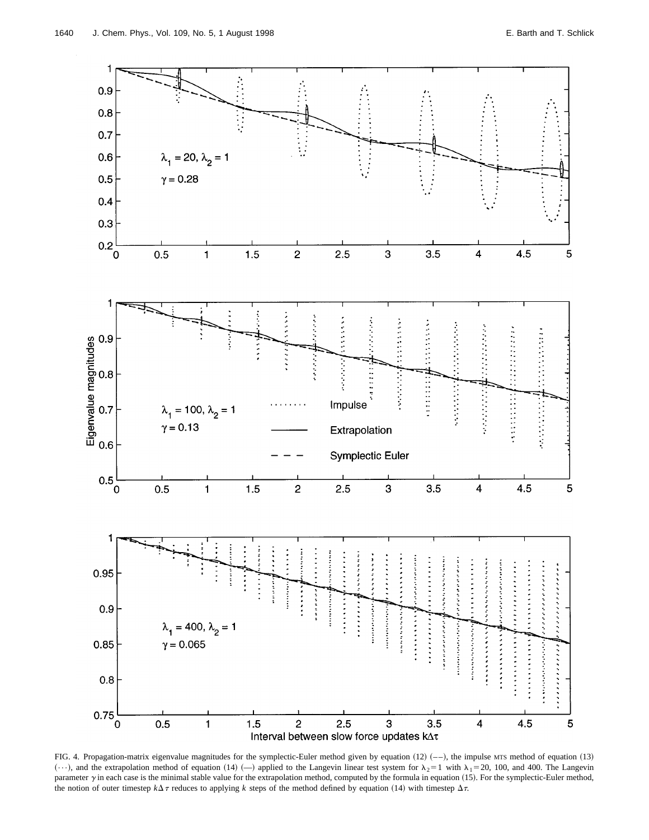

FIG. 4. Propagation-matrix eigenvalue magnitudes for the symplectic-Euler method given by equation  $(12)$   $(-)$ , the impulse MTS method of equation  $(13)$  $(\cdots)$ , and the extrapolation method of equation (14)  $(-)$  applied to the Langevin linear test system for  $\lambda_2=1$  with  $\lambda_1=20$ , 100, and 400. The Langevin parameter  $\gamma$  in each case is the minimal stable value for the extrapolation method, computed by the formula in equation  $(15)$ . For the symplectic-Euler method, the notion of outer timestep  $k\Delta\tau$  reduces to applying k steps of the method defined by equation (14) with timestep  $\Delta\tau$ .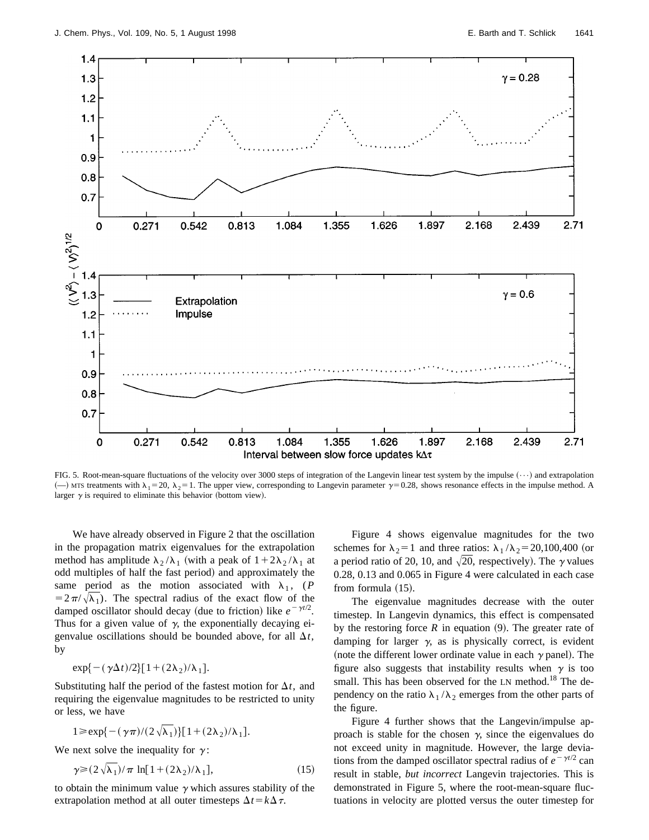

FIG. 5. Root-mean-square fluctuations of the velocity over 3000 steps of integration of the Langevin linear test system by the impulse  $(\cdots)$  and extrapolation  $(-)$  MTS treatments with  $\lambda_1 = 20$ ,  $\lambda_2 = 1$ . The upper view, corresponding to Langevin parameter  $\gamma = 0.28$ , shows resonance effects in the impulse method. A larger  $\gamma$  is required to eliminate this behavior (bottom view).

We have already observed in Figure 2 that the oscillation in the propagation matrix eigenvalues for the extrapolation method has amplitude  $\lambda_2 / \lambda_1$  (with a peak of  $1 + 2\lambda_2 / \lambda_1$  at odd multiples of half the fast period) and approximately the same period as the motion associated with  $\lambda_1$ , (*P*  $=2\pi/\sqrt{\lambda_1}$ . The spectral radius of the exact flow of the damped oscillator should decay (due to friction) like  $e^{-\gamma t/2}$ . Thus for a given value of  $\gamma$ , the exponentially decaying eigenvalue oscillations should be bounded above, for all  $\Delta t$ , by

$$
\exp\{-(\gamma\Delta t)/2\} [1+(2\lambda_2)/\lambda_1].
$$

Substituting half the period of the fastest motion for  $\Delta t$ , and requiring the eigenvalue magnitudes to be restricted to unity or less, we have

$$
1 \ge \exp\{-(\gamma \pi)/(2\sqrt{\lambda_1})\} [1 + (2\lambda_2)/\lambda_1].
$$

We next solve the inequality for  $\gamma$ :

$$
\gamma \geq (2\sqrt{\lambda_1})/\pi \ln[1 + (2\lambda_2)/\lambda_1],\tag{15}
$$

to obtain the minimum value  $\gamma$  which assures stability of the extrapolation method at all outer timesteps  $\Delta t = k \Delta \tau$ .

Figure 4 shows eigenvalue magnitudes for the two schemes for  $\lambda_2=1$  and three ratios:  $\lambda_1/\lambda_2=20,100,400$  (or a period ratio of 20, 10, and  $\sqrt{20}$ , respectively). The  $\gamma$  values 0.28, 0.13 and 0.065 in Figure 4 were calculated in each case from formula  $(15)$ .

The eigenvalue magnitudes decrease with the outer timestep. In Langevin dynamics, this effect is compensated by the restoring force  $R$  in equation  $(9)$ . The greater rate of damping for larger  $\gamma$ , as is physically correct, is evident (note the different lower ordinate value in each  $\gamma$  panel). The figure also suggests that instability results when  $\gamma$  is too small. This has been observed for the LN method.<sup>18</sup> The dependency on the ratio  $\lambda_1 / \lambda_2$  emerges from the other parts of the figure.

Figure 4 further shows that the Langevin/impulse approach is stable for the chosen  $\gamma$ , since the eigenvalues do not exceed unity in magnitude. However, the large deviations from the damped oscillator spectral radius of  $e^{-\gamma t/2}$  can result in stable, *but incorrect* Langevin trajectories. This is demonstrated in Figure 5, where the root-mean-square fluctuations in velocity are plotted versus the outer timestep for